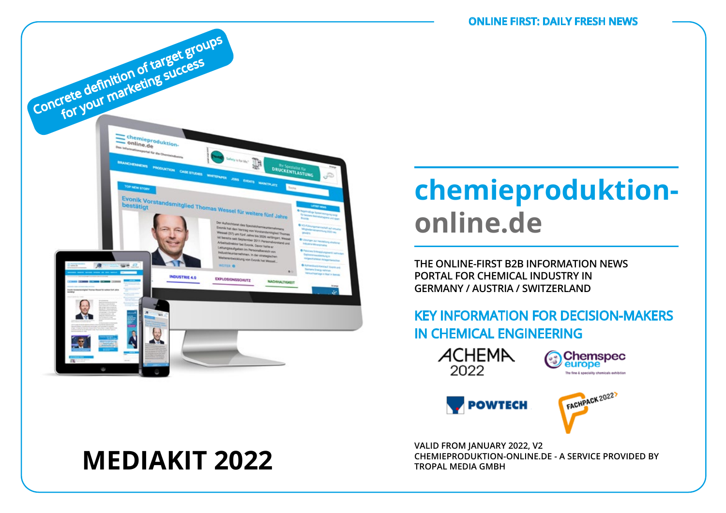

# **chemieproduktiononline.de**

**THE ONLINE-FIRST B2B INFORMATION NEWS PORTAL FOR CHEMICAL INDUSTRY IN GERMANY / AUSTRIA / SWITZERLAND**

## KEY INFORMATION FOR DECISION-MAKERS IN CHEMICAL ENGINEERING







**VALID FROM JANUARY 2022, V2 CHEMIEPRODUKTION-ONLINE.DE - A SERVICE PROVIDED BY**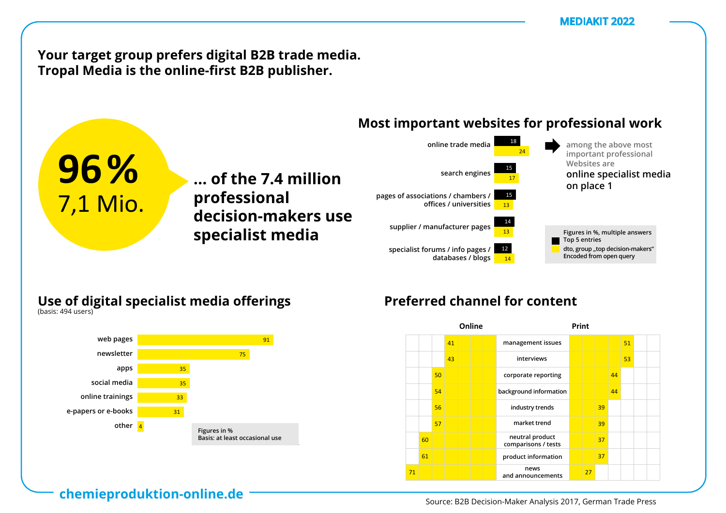**Your target group prefers digital B2B trade media.** Tropal Media is the online-first B2B publisher.

**… der 7,4 Mio. ... of the 7.4 million** 

**Entscheider**  80 **decision-makers use** 

**Professionellen professional** 

#### **Most important websites for professional work** vertreterninger instituten t websites for prof



### **Use of digital specialist media offerings B2B-Entscheides 2018** Nutzung digitaler Fachmedien-Angebote

**nutzung ließen Fachanden Specialist media** 

**96%**

1 1 Mio.

am Arbeitsplatz

zu Hause

(Basis: 502 Nutzer)

(Basis: 494 Nutzer)



## Preferred channel for content

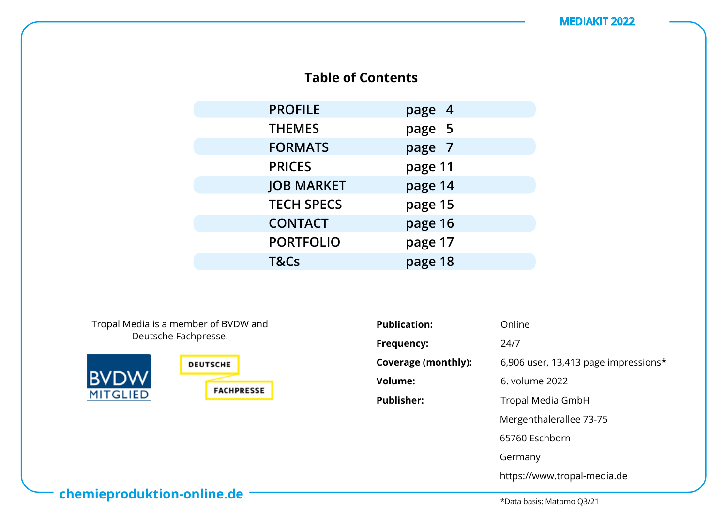## **Table of Contents**

| <b>PROFILE</b>    | page 4  |
|-------------------|---------|
| <b>THEMES</b>     | page 5  |
| <b>FORMATS</b>    | page 7  |
| <b>PRICES</b>     | page 11 |
| <b>JOB MARKET</b> | page 14 |
| <b>TECH SPECS</b> | page 15 |
| <b>CONTACT</b>    | page 16 |
| <b>PORTFOLIO</b>  | page 17 |
| T&Cs              | page 18 |

Tropal Media is a member of BVDW and Deutsche Fachpresse.



| <b>Publication:</b>        | Online                               |
|----------------------------|--------------------------------------|
| Frequency:                 | 24/7                                 |
| <b>Coverage (monthly):</b> | 6,906 user, 13,413 page impressions* |
| <b>Volume:</b>             | 6. volume 2022                       |
| <b>Publisher:</b>          | Tropal Media GmbH                    |
|                            | Mergenthalerallee 73-75              |
|                            | 65760 Eschborn                       |
|                            | Germany                              |
|                            | https://www.tropal-media.de          |

**chemieproduktion-online.de**

\*Data basis: Matomo Q3/21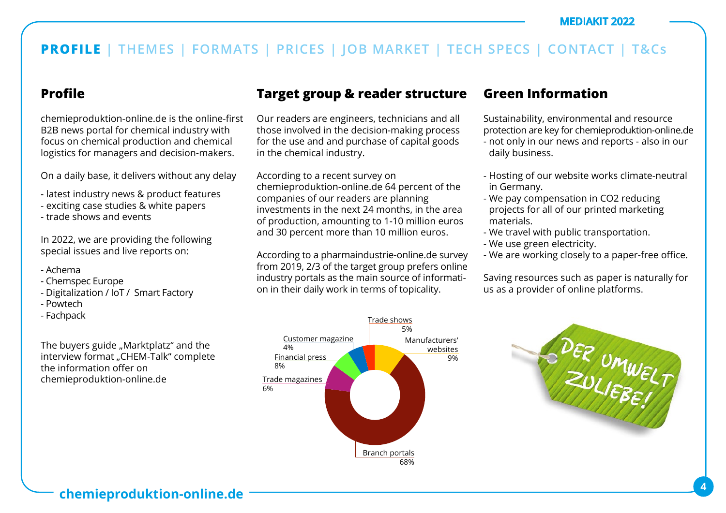### **Profile**

chemieproduktion-online.de is the online-first B2B news portal for chemical industry with focus on chemical production and chemical logistics for managers and decision-makers.

On a daily base, it delivers without any delay

- latest industry news & product features
- exciting case studies & white papers
- trade shows and events

In 2022, we are providing the following special issues and live reports on:

- Achema
- Chemspec Europe
- Digitalization / IoT / Smart Factory
- Powtech
- Fachpack

The buyers guide "Marktplatz" and the interview format "CHEM-Talk" complete the information offer on chemieproduktion-online.de

## **Target group & reader structure**

Our readers are engineers, technicians and all those involved in the decision-making process for the use and and purchase of capital goods in the chemical industry.

According to a recent survey on chemieproduktion-online.de 64 percent of the companies of our readers are planning investments in the next 24 months, in the area of production, amounting to 1-10 million euros and 30 percent more than 10 million euros.

According to a pharmaindustrie-online.de survey from 2019, 2/3 of the target group prefers online industry portals as the main source of information in their daily work in terms of topicality.

### Trade magazines 6% Trade shows 5% Financial press 8% Customer magazine 4% Branch portals Manufacturers' websites 9%

68%

## **Green Information**

Sustainability, environmental and resource protection are key for chemieproduktion-online.de

- not only in our news and reports also in our daily business.
- Hosting of our website works climate-neutral in Germany.
- We pay compensation in CO2 reducing projects for all of our printed marketing materials.
- We travel with public transportation.
- We use green electricity.
- We are working closely to a paper-free office.

Saving resources such as paper is naturally for us as a provider of online platforms.

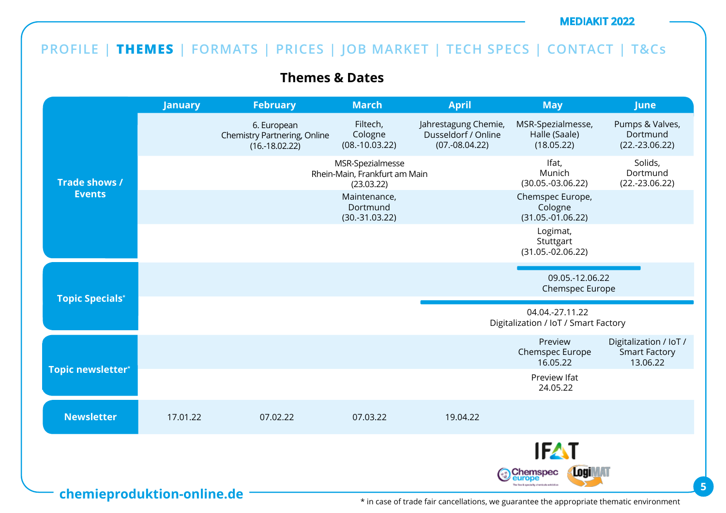## **PROFILE | THEMES | FORMATS | PRICES | JOB MARKET | TECH SPECS | CONTACT | T&Cs**

**Themes & Dates**

|                          | <b>January</b>             | <b>February</b>                                                 | <b>March</b>                                                    | April                                                           | <b>May</b>                                                                         | <b>June</b>                                                |
|--------------------------|----------------------------|-----------------------------------------------------------------|-----------------------------------------------------------------|-----------------------------------------------------------------|------------------------------------------------------------------------------------|------------------------------------------------------------|
|                          |                            | 6. European<br>Chemistry Partnering, Online<br>$(16.-18.02.22)$ | Filtech,<br>Cologne<br>$(08.-10.03.22)$                         | Jahrestagung Chemie,<br>Dusseldorf / Online<br>$(07.-08.04.22)$ | MSR-Spezialmesse,<br>Halle (Saale)<br>(18.05.22)                                   | Pumps & Valves,<br>Dortmund<br>$(22.-23.06.22)$            |
| Trade shows /            |                            |                                                                 | MSR-Spezialmesse<br>Rhein-Main, Frankfurt am Main<br>(23.03.22) |                                                                 | Ifat,<br>Munich<br>$(30.05.-03.06.22)$                                             | Solids,<br>Dortmund<br>$(22.-23.06.22)$                    |
| <b>Events</b>            |                            |                                                                 | Maintenance,<br>Dortmund<br>$(30.-31.03.22)$                    |                                                                 | Chemspec Europe,<br>Cologne<br>$(31.05.-01.06.22)$                                 |                                                            |
|                          |                            |                                                                 |                                                                 |                                                                 | Logimat,<br>Stuttgart<br>$(31.05.-02.06.22)$                                       |                                                            |
|                          |                            |                                                                 |                                                                 |                                                                 | 09.05.-12.06.22<br>Chemspec Europe                                                 |                                                            |
| <b>Topic Specials*</b>   |                            |                                                                 |                                                                 |                                                                 | 04.04.-27.11.22<br>Digitalization / IoT / Smart Factory                            |                                                            |
|                          |                            |                                                                 |                                                                 |                                                                 | Preview<br>Chemspec Europe<br>16.05.22                                             | Digitalization / IoT /<br><b>Smart Factory</b><br>13.06.22 |
| <b>Topic newsletter*</b> |                            |                                                                 |                                                                 |                                                                 | Preview Ifat<br>24.05.22                                                           |                                                            |
| <b>Newsletter</b>        | 17.01.22                   | 07.02.22                                                        | 07.03.22                                                        | 19.04.22                                                        |                                                                                    |                                                            |
|                          |                            |                                                                 |                                                                 |                                                                 | <b>IFAT</b>                                                                        |                                                            |
|                          | chemieproduktion-online.de |                                                                 |                                                                 |                                                                 | Logi <b>MAT</b><br>Chemspec<br>europe<br>he fine & speciality chamicals exhibition |                                                            |

\* in case of trade fair cancellations, we guarantee the appropriate thematic environment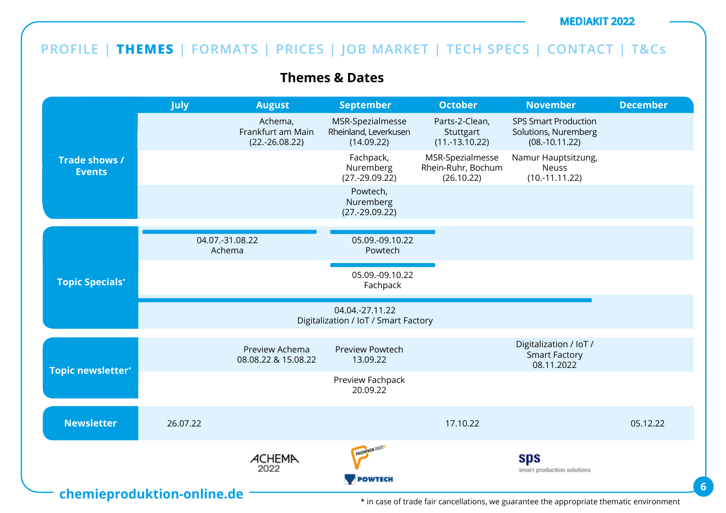## **PROFILE | THEMES | FORMATS | PRICES | JOB MARKET | TECH SPECS | CONTACT | T&Cs**

**Themes & Dates**

|                                       | <b>July</b>                | <b>August</b>                                    | <b>September</b>                                        | <b>October</b>                                       | <b>November</b>                                                         | <b>December</b> |
|---------------------------------------|----------------------------|--------------------------------------------------|---------------------------------------------------------|------------------------------------------------------|-------------------------------------------------------------------------|-----------------|
|                                       |                            | Achema,<br>Frankfurt am Main<br>$(22.-26.08.22)$ | MSR-Spezialmesse<br>Rheinland, Leverkusen<br>(14.09.22) | Parts-2-Clean,<br>Stuttgart<br>$(11.-13.10.22)$      | <b>SPS Smart Production</b><br>Solutions, Nuremberg<br>$(08.-10.11.22)$ |                 |
| <b>Trade shows /</b><br><b>Events</b> |                            |                                                  | Fachpack,<br>Nuremberg<br>$(27.-29.09.22)$              | MSR-Spezialmesse<br>Rhein-Ruhr, Bochum<br>(26.10.22) | Namur Hauptsitzung,<br><b>Neuss</b><br>$(10.-11.11.22)$                 |                 |
|                                       |                            |                                                  | Powtech,<br>Nuremberg<br>$(27.-29.09.22)$               |                                                      |                                                                         |                 |
|                                       |                            |                                                  |                                                         |                                                      |                                                                         |                 |
|                                       |                            | 04.07.-31.08.22<br>Achema                        | 05.09.-09.10.22<br>Powtech                              |                                                      |                                                                         |                 |
| <b>Topic Specials*</b>                |                            |                                                  | 05.09.-09.10.22<br>Fachpack                             |                                                      |                                                                         |                 |
|                                       |                            |                                                  | 04.04.-27.11.22<br>Digitalization / IoT / Smart Factory |                                                      |                                                                         |                 |
| Topic newsletter*                     |                            | Preview Achema<br>08.08.22 & 15.08.22            | Preview Powtech<br>13.09.22                             |                                                      | Digitalization / IoT /<br><b>Smart Factory</b><br>08.11.2022            |                 |
|                                       |                            |                                                  | Preview Fachpack<br>20.09.22                            |                                                      |                                                                         |                 |
| <b>Newsletter</b>                     | 26.07.22                   |                                                  |                                                         | 17.10.22                                             |                                                                         | 05.12.22        |
|                                       | chemieproduktion-online.de | <b>ACHEMA</b><br>2022                            | FACHPACK 2022)<br><b>POWTECH</b>                        |                                                      | sps<br>smart production solutions                                       |                 |

\* in case of trade fair cancellations, we guarantee the appropriate thematic environment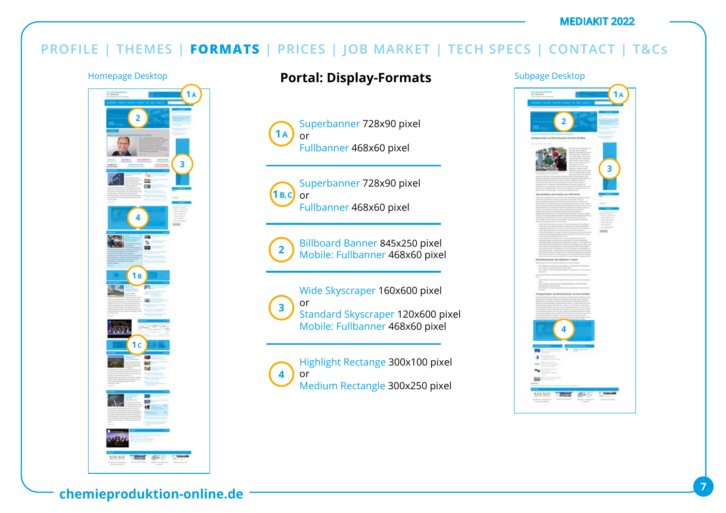## **PROFILE | THEMES | FORMATS | PRICES | JOB MARKET | TECH SPECS | CONTACT | T&Cs**



## Homepage Desktop **Portal: Display-Formats** Subpage Desktop

Superbanner 728x90 pixel or Fullbanner 468x60 pixel **1 A**



Superbanner 728x90 pixel Fullbanner 468x60 pixel



Billboard Banner 845x250 pixel Mobile: Fullbanner 468x60 pixel

Wide Skyscraper 160x600 pixel or Standard Skyscraper 120x600 pixel Mobile: Fullbanner 468x60 pixel **3**

Highlight Rectange 300x100 pixel or Medium Rectangle 300x250 pixel **4**

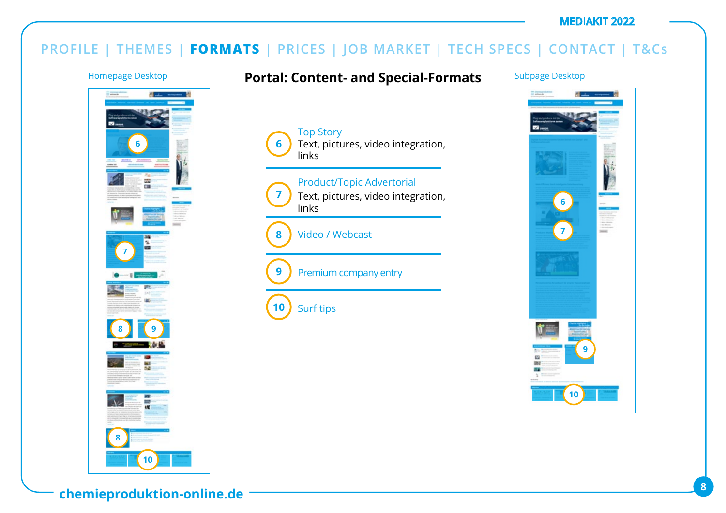## **PROFILE | THEMES | FORMATS | PRICES | JOB MARKET | TECH SPECS | CONTACT | T&Cs**

**6**

Top Story

links

links

Surf tips

Video / Webcast

Premium company entry

**7**

**9**

**10**

**8**



### Homepage Desktop **Fortal: Content- and Special-Formats** Subpage Desktop

Text, pictures, video integration,

Text, pictures, video integration,

Product/Topic Advertorial

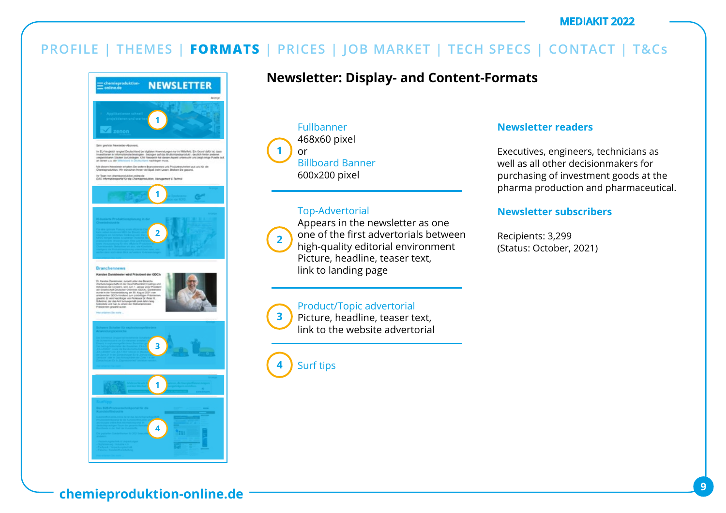## **PROFILE | THEMES | FORMATS | PRICES | JOB MARKET | TECH SPECS | CONTACT | T&Cs**



## **Newsletter: Display- and Content-Formats**

Fullbanner 468x60 pixel or Billboard Banner 600x200 pixel **1**

### Top-Advertorial



**3**

Appears in the newsletter as one one of the first advertorials between high-quality editorial environment Picture, headline, teaser text, link to landing page

### Product/Topic advertorial

Picture, headline, teaser text, link to the website advertorial

Surf tips **4**

### **Newsletter readers**

Executives, engineers, technicians as well as all other decisionmakers for purchasing of investment goods at the pharma production and pharmaceutical.

### **Newsletter subscribers**

Recipients: 3,299 (Status: October, 2021)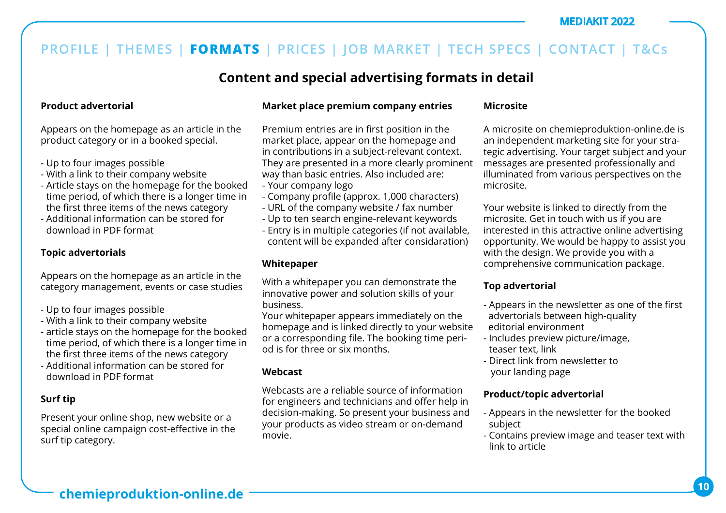## **Content and special advertising formats in detail**

### **Product advertorial**

Appears on the homepage as an article in the product category or in a booked special.

- Up to four images possible
- With a link to their company website
- Article stays on the homepage for the booked time period, of which there is a longer time in the first three items of the news category
- Additional information can be stored for download in PDF format

#### **Topic advertorials**

Appears on the homepage as an article in the category management, events or case studies

- Up to four images possible
- With a link to their company website
- article stays on the homepage for the booked time period, of which there is a longer time in the first three items of the news category
- Additional information can be stored for download in PDF format

### **Surf tip**

Present your online shop, new website or a special online campaign cost-effective in the surf tip category.

#### **Market place premium company entries**

Premium entries are in first position in the market place, appear on the homepage and in contributions in a subject-relevant context. They are presented in a more clearly prominent way than basic entries. Also included are:

- Your company logo
- Company profile (approx. 1,000 characters)
- URL of the company website / fax number
- Up to ten search engine-relevant keywords
- Entry is in multiple categories (if not available, content will be expanded after considaration)

### **Whitepaper**

With a whitepaper you can demonstrate the innovative power and solution skills of your business.

Your whitepaper appears immediately on the homepage and is linked directly to your website or a corresponding file. The booking time period is for three or six months.

### **Webcast**

Webcasts are a reliable source of information for engineers and technicians and offer help in decision-making. So present your business and your products as video stream or on-demand movie.

#### **Microsite**

A microsite on chemieproduktion-online.de is an independent marketing site for your strategic advertising. Your target subject and your messages are presented professionally and illuminated from various perspectives on the microsite.

Your website is linked to directly from the microsite. Get in touch with us if you are interested in this attractive online advertising opportunity. We would be happy to assist you with the design. We provide you with a comprehensive communication package.

### **Top advertorial**

- Appears in the newsletter as one of the first advertorials between high-quality editorial environment
- Includes preview picture/image, teaser text, link
- Direct link from newsletter to your landing page

### **Product/topic advertorial**

- Appears in the newsletter for the booked subject
- Contains preview image and teaser text with link to article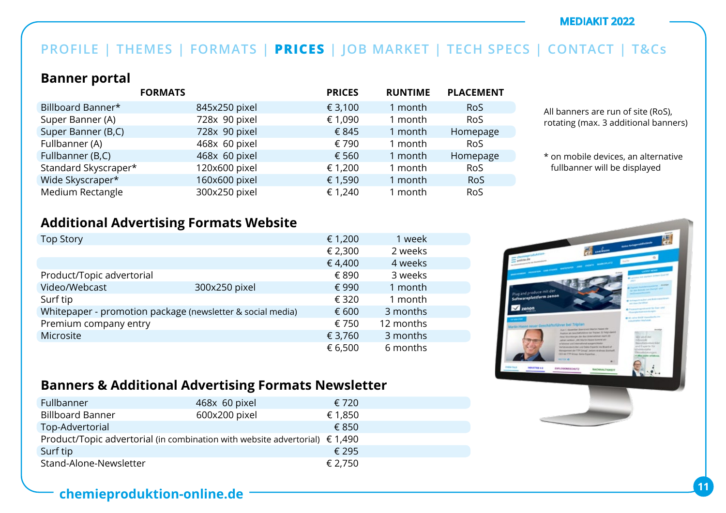## **PROFILE | THEMES | FORMATS | PRICES | JOB MARKET | TECH SPECS | CONTACT | T&Cs**

### **Banner portal**

|                      | <b>FORMATS</b> | <b>PRICES</b> | <b>RUNTIME</b> | <b>PLACEMENT</b> |
|----------------------|----------------|---------------|----------------|------------------|
| Billboard Banner*    | 845x250 pixel  | € 3,100       | 1 month        | <b>RoS</b>       |
| Super Banner (A)     | 728x 90 pixel  | € 1,090       | 1 month        | <b>RoS</b>       |
| Super Banner (B,C)   | 728x 90 pixel  | € 845         | 1 month        | Homepage         |
| Fullbanner (A)       | 468x 60 pixel  | € 790         | 1 month        | <b>RoS</b>       |
| Fullbanner (B,C)     | 468x 60 pixel  | € 560         | 1 month        | Homepage         |
| Standard Skyscraper* | 120x600 pixel  | € 1,200       | 1 month        | <b>RoS</b>       |
| Wide Skyscraper*     | 160x600 pixel  | € 1,590       | 1 month        | <b>RoS</b>       |
| Medium Rectangle     | 300x250 pixel  | € 1,240       | 1 month        | <b>RoS</b>       |

All banners are run of site (RoS), rotating (max. 3 additional banners)

\* on mobile devices, an alternative fullbanner will be displayed

### **Additional Advertising Formats Website**

| <b>Top Story</b>          |                                                            | € 1,200 | 1 week    |  |
|---------------------------|------------------------------------------------------------|---------|-----------|--|
|                           |                                                            | € 2,300 | 2 weeks   |  |
|                           |                                                            | €4,400  | 4 weeks   |  |
| Product/Topic advertorial |                                                            | € 890   | 3 weeks   |  |
| Video/Webcast             | 300x250 pixel                                              | € 990   | 1 month   |  |
| Surf tip                  |                                                            | € 320   | 1 month   |  |
|                           | Whitepaper - promotion package (newsletter & social media) | € 600   | 3 months  |  |
| Premium company entry     |                                                            | € 750   | 12 months |  |
| Microsite                 |                                                            | € 3,760 | 3 months  |  |
|                           |                                                            | € 6,500 | 6 months  |  |



## **Banners & Additional Advertising Formats Newsletter**

| Fullbanner                                                                           | 468x 60 pixel | € 720   |
|--------------------------------------------------------------------------------------|---------------|---------|
| <b>Billboard Banner</b>                                                              | 600x200 pixel | € 1,850 |
| Top-Advertorial                                                                      |               | € 850   |
| Product/Topic advertorial (in combination with website advertorial) $\epsilon$ 1,490 |               |         |
| Surf tip                                                                             |               | € 295   |
| Stand-Alone-Newsletter                                                               |               | € 2,750 |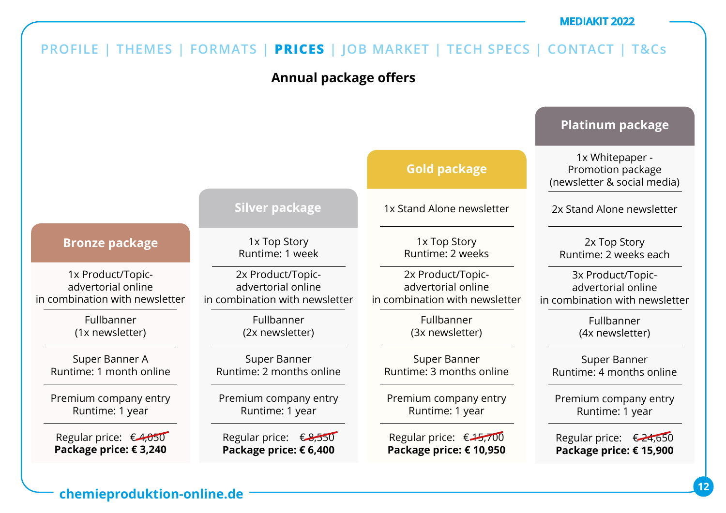#### **Annual package offers PROFILE | THEMES | FORMATS | PRICES | JOB MARKET | TECH SPECS | CONTACT | T&Cs** 1x Product/Topicadvertorial online in combination with newsletter Fullbanner (1x newsletter) Super Banner A Runtime: 1 month online Premium company entry Runtime: 1 year Regular price:  $\epsilon$ 4,050 **Package price: € 3,240 Bronze package** 1x Top Story Runtime: 1 week 2x Product/Topicadvertorial online in combination with newsletter Fullbanner (2x newsletter) Super Banner Runtime: 2 months online Premium company entry Runtime: 1 year Regular price: €8,550 **Package price: € 6,400 Silver package** 1x Stand Alone newsletter 1x Top Story Runtime: 2 weeks 2x Product/Topicadvertorial online in combination with newsletter Fullbanner (3x newsletter) Super Banner Runtime: 3 months online Premium company entry Runtime: 1 year Regular price: € 15,700 **Package price: € 10,950 Gold package** 1x Whitepaper - Promotion package (newsletter & social media) 2x Stand Alone newsletter 2x Top Story Runtime: 2 weeks each 3x Product/Topicadvertorial online in combination with newsletter Fullbanner (4x newsletter) Super Banner Runtime: 4 months online Premium company entry Runtime: 1 year Regular price: € 24,650 **Package price: € 15,900 Platinum package**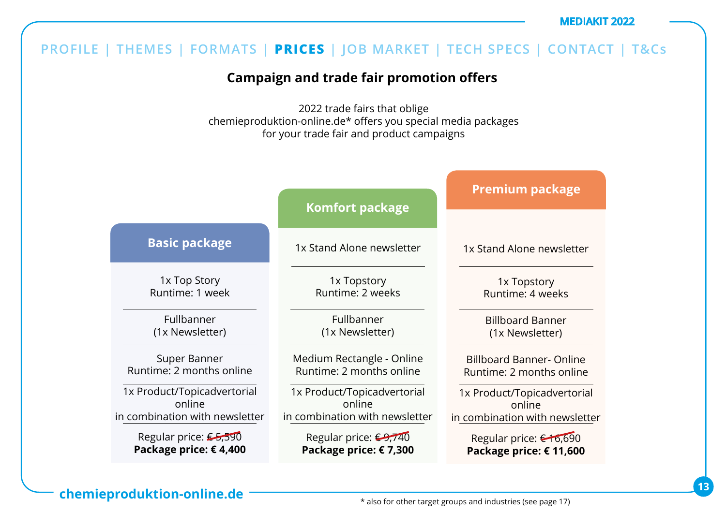## **Campaign and trade fair promotion offers**

2022 trade fairs that oblige chemieproduktion-online.de\* offers you special media packages for your trade fair and product campaigns

|                                | <b>Komfort package</b>         | <b>Premium package</b>          |
|--------------------------------|--------------------------------|---------------------------------|
| <b>Basic package</b>           | 1x Stand Alone newsletter      | 1x Stand Alone newsletter       |
| 1x Top Story                   | 1x Topstory                    | 1x Topstory                     |
| Runtime: 1 week                | Runtime: 2 weeks               | Runtime: 4 weeks                |
| Fullbanner                     | Fullbanner                     | <b>Billboard Banner</b>         |
| (1x Newsletter)                | (1x Newsletter)                | (1x Newsletter)                 |
| Super Banner                   | Medium Rectangle - Online      | <b>Billboard Banner- Online</b> |
| Runtime: 2 months online       | Runtime: 2 months online       | Runtime: 2 months online        |
| 1x Product/Topicadvertorial    | 1x Product/Topicadvertorial    | 1x Product/Topicadvertorial     |
| online                         | online                         | online                          |
| in combination with newsletter | in combination with newsletter | in combination with newsletter  |
| Regular price: €5,590          | Regular price: €9,740          | Regular price: €16,690          |
| Package price: €4,400          | Package price: €7,300          | Package price: € 11,600         |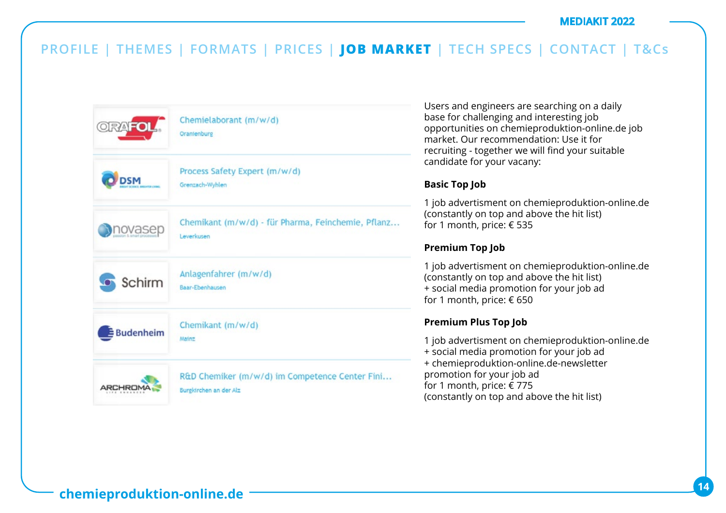

Users and engineers are searching on a daily base for challenging and interesting job opportunities on chemieproduktion-online.de job market. Our recommendation: Use it for recruiting - together we will find your suitable candidate for your vacany:

#### **Basic Top Job**

1 job advertisment on chemieproduktion-online.de (constantly on top and above the hit list) for 1 month, price: € 535

### **Premium Top Job**

1 job advertisment on chemieproduktion-online.de (constantly on top and above the hit list) + social media promotion for your job ad for 1 month, price: € 650

### **Premium Plus Top Job**

1 job advertisment on chemieproduktion-online.de + social media promotion for your job ad + chemieproduktion-online.de-newsletter promotion for your job ad for 1 month, price: € 775 (constantly on top and above the hit list)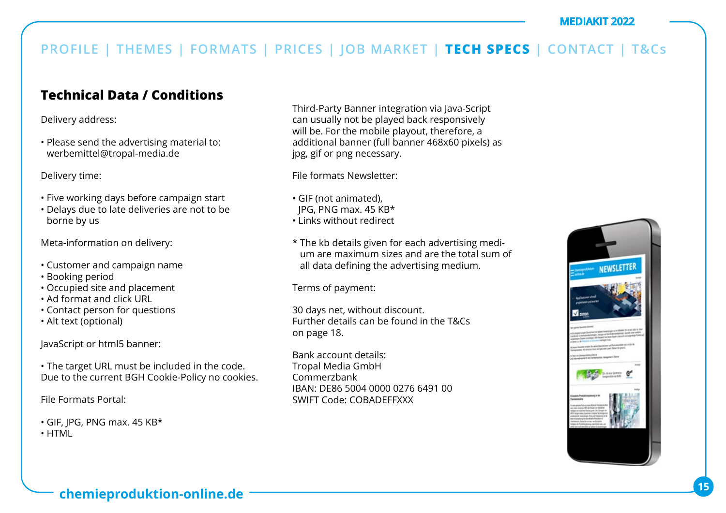## **Technical Data / Conditions**

Delivery address:

• Please send the advertising material to: werbemittel@tropal-media.de

Delivery time:

- Five working days before campaign start
- Delays due to late deliveries are not to be borne by us

Meta-information on delivery:

- Customer and campaign name
- Booking period
- Occupied site and placement
- Ad format and click URL
- Contact person for questions
- Alt text (optional)

JavaScript or html5 banner:

• The target URL must be included in the code. Due to the current BGH Cookie-Policy no cookies.

File Formats Portal:

- GIF, JPG, PNG max. 45 KB\*
- HTML

Third-Party Banner integration via Java-Script can usually not be played back responsively will be. For the mobile playout, therefore, a additional banner (full banner 468x60 pixels) as jpg, gif or png necessary.

File formats Newsletter:

- GIF (not animated),
- JPG, PNG max. 45 KB\*
- Links without redirect
- \* The kb details given for each advertising medium are maximum sizes and are the total sum of all data defining the advertising medium.

Terms of payment:

30 days net, without discount. Further details can be found in the T&Cs on page 18.

Bank account details: Tropal Media GmbH Commerzbank IBAN: DE86 5004 0000 0276 6491 00 SWIFT Code: COBADEFFXXX

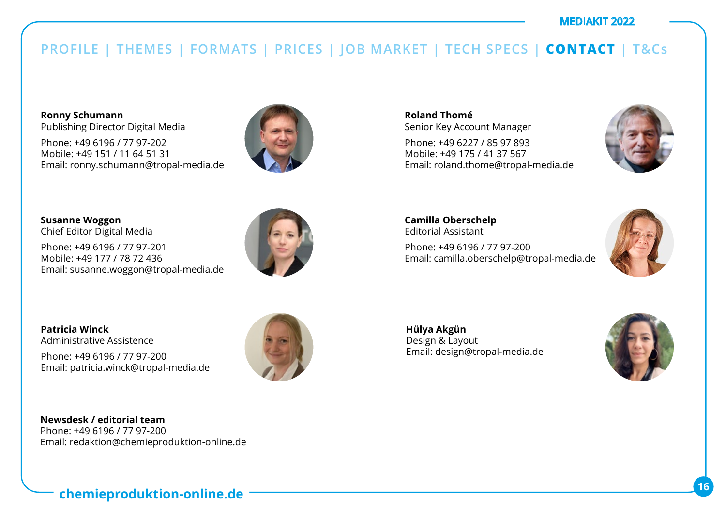**Ronny Schumann**  Publishing Director Digital Media

Phone: +49 6196 / 77 97-202 Mobile: +49 151 / 11 64 51 31 Email: ronny.schumann@tropal-media.de



**Susanne Woggon**  Chief Editor Digital Media

Phone: +49 6196 / 77 97-201 Mobile: +49 177 / 78 72 436 Email: susanne.woggon@tropal-media.de



**Patricia Winck** Administrative Assistence

Phone: +49 6196 / 77 97-200 Email: patricia.winck@tropal-media.de

**Newsdesk / editorial team** Phone: +49 6196 / 77 97-200 Email: redaktion@chemieproduktion-online.de **Roland Thomé** Senior Key Account Manager

Phone: +49 6227 / 85 97 893 Mobile: +49 175 / 41 37 567 Email: roland.thome@tropal-media.de



**Camilla Oberschelp** Editorial Assistant Phone: +49 6196 / 77 97-200 Email: camilla.oberschelp@tropal-media.de



**Hülya Akgün**  Design & Layout Email: design@tropal-media.de

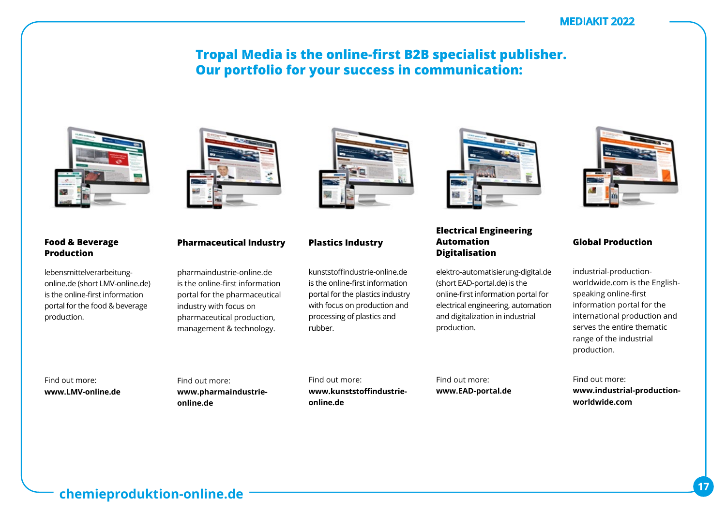### **Tropal Media is the online-first B2B specialist publisher. Our portfolio for your success in communication:**



#### **Food & Beverage Production**

lebensmittelverarbeitungonline.de (short LMV-online.de) is the online-first information portal for the food & beverage production.



### **Pharmaceutical Industry**

pharmaindustrie-online.de is the online-first information portal for the pharmaceutical industry with focus on pharmaceutical production, management & technology.

kunststoffindustrie-online.de is the online-first information portal for the plastics industry with focus on production and processing of plastics and rubber.

**Plastics Industry**



#### **Electrical Engineering Automation Digitalisation**

elektro-automatisierung-digital.de (short EAD-portal.de) is the online-first information portal for electrical engineering, automation and digitalization in industrial production.



#### **Global Production**

industrial-productionworldwide.com is the Englishspeaking online-first information portal for the international production and serves the entire thematic range of the industrial production.

Find out more: **www.industrial-productionworldwide.com** 

Find out more: **www.LMV-online.de** Find out more: **www.pharmaindustrieonline.de**

Find out more: **www.kunststoffindustrieonline.de**

Find out more: **www.EAD-portal.de**